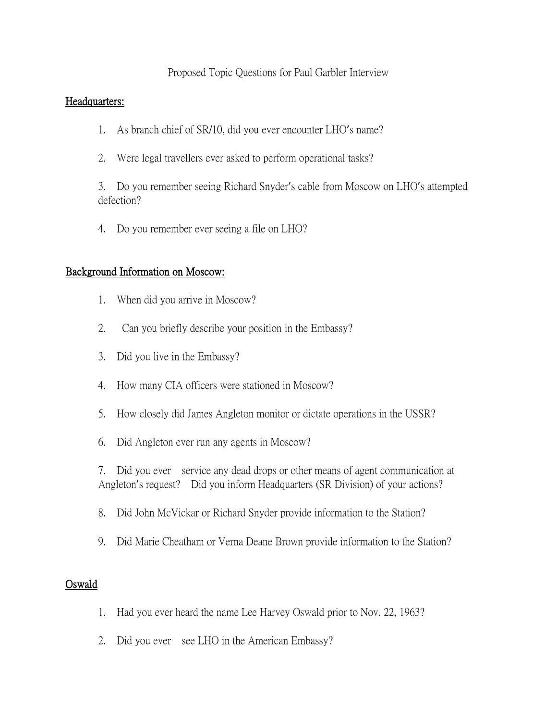# Proposed Topic Questions for Paul Garbler Interview

#### Headquarters:

- 1. As branch chief of SR/10, did you ever encounter LHO's name?
- 2. Were legal travellers ever asked to perform operational tasks?

3. Do you remember seeing Richard Snyder's cable from Moscow on LHO's attempted defection?

4. Do you remember ever seeing a file on LHO?

### Background Information on Moscow:

- 1. When did you arrive in Moscow?
- 2. Can you briefly describe your position in the Embassy?
- 3. Did you live in the Embassy?
- 4. How many CIA officers were stationed in Moscow?
- 5. How closely did James Angleton monitor or dictate operations in the USSR?
- 6. Did Angleton ever run any agents in Moscow?

7. Did you ever service any dead drops or other means of agent communication at Angleton's request? Did you inform Headquarters (SR Division) of your actions?

- 8. Did John McVickar or Richard Snyder provide information to the Station?
- 9. Did Marie Cheatham or Verna Deane Brown provide information to the Station?

### Oswald

- 1. Had you ever heard the name Lee Harvey Oswald prior to Nov. 22, 1963?
- 2. Did you ever see LHO in the American Embassy?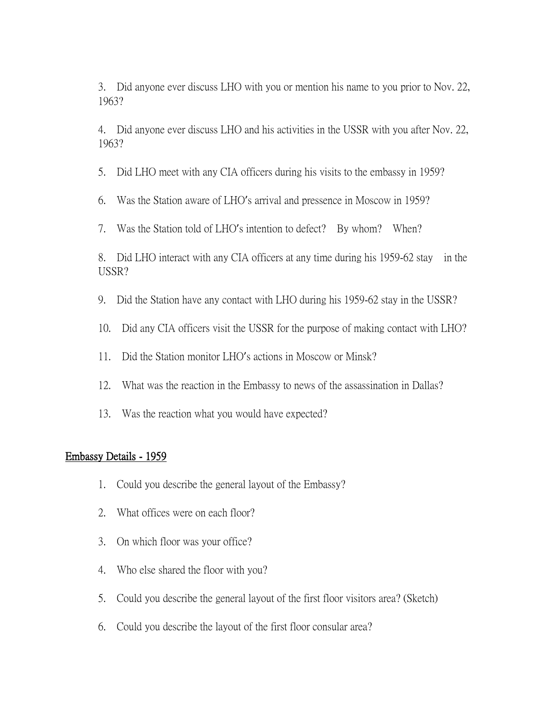3. Did anyone ever discuss LHO with you or mention his name to you prior to Nov. 22, 1963?

4. Did anyone ever discuss LHO and his activities in the USSR with you after Nov. 22, 1963?

5. Did LHO meet with any CIA officers during his visits to the embassy in 1959?

6. Was the Station aware of LHO's arrival and pressence in Moscow in 1959?

7. Was the Station told of LHO's intention to defect? By whom? When?

8. Did LHO interact with any CIA officers at any time during his 1959-62 stay in the USSR?

- 9. Did the Station have any contact with LHO during his 1959-62 stay in the USSR?
- 10. Did any CIA officers visit the USSR for the purpose of making contact with LHO?
- 11. Did the Station monitor LHO's actions in Moscow or Minsk?
- 12. What was the reaction in the Embassy to news of the assassination in Dallas?
- 13. Was the reaction what you would have expected?

# Embassy Details - 1959

- 1. Could you describe the general layout of the Embassy?
- 2. What offices were on each floor?
- 3. On which floor was your office?
- 4. Who else shared the floor with you?
- 5. Could you describe the general layout of the first floor visitors area? (Sketch)
- 6. Could you describe the layout of the first floor consular area?